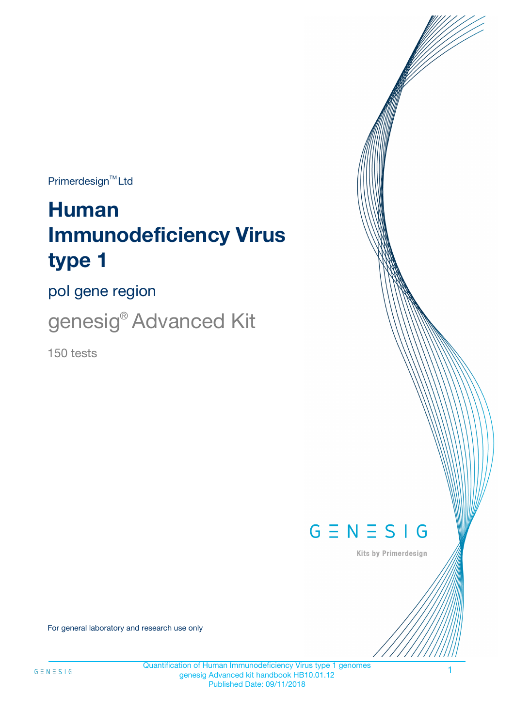$Primerdesign^{\text{TM}}Ltd$ 

# **Human Immunodeficiency Virus type 1**

pol gene region

genesig® Advanced Kit

150 tests



Kits by Primerdesign

For general laboratory and research use only

Quantification of Human Immunodeficiency Virus type 1 genomes genesig Advanced kit handbook HB10.01.12 Published Date: 09/11/2018

1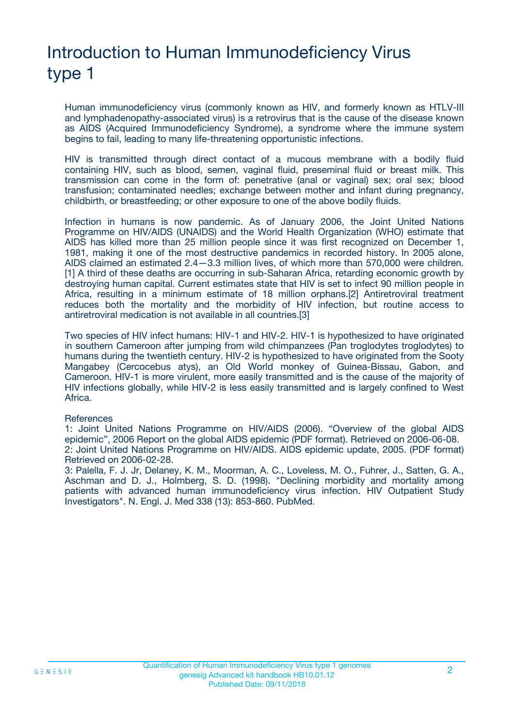# Introduction to Human Immunodeficiency Virus type 1

Human immunodeficiency virus (commonly known as HIV, and formerly known as HTLV-III and lymphadenopathy-associated virus) is a retrovirus that is the cause of the disease known as AIDS (Acquired Immunodeficiency Syndrome), a syndrome where the immune system begins to fail, leading to many life-threatening opportunistic infections.

HIV is transmitted through direct contact of a mucous membrane with a bodily fluid containing HIV, such as blood, semen, vaginal fluid, preseminal fluid or breast milk. This transmission can come in the form of: penetrative (anal or vaginal) sex; oral sex; blood transfusion; contaminated needles; exchange between mother and infant during pregnancy, childbirth, or breastfeeding; or other exposure to one of the above bodily fluids.

Infection in humans is now pandemic. As of January 2006, the Joint United Nations Programme on HIV/AIDS (UNAIDS) and the World Health Organization (WHO) estimate that AIDS has killed more than 25 million people since it was first recognized on December 1, 1981, making it one of the most destructive pandemics in recorded history. In 2005 alone, AIDS claimed an estimated 2.4—3.3 million lives, of which more than 570,000 were children. [1] A third of these deaths are occurring in sub-Saharan Africa, retarding economic growth by destroying human capital. Current estimates state that HIV is set to infect 90 million people in Africa, resulting in a minimum estimate of 18 million orphans.[2] Antiretroviral treatment reduces both the mortality and the morbidity of HIV infection, but routine access to antiretroviral medication is not available in all countries.[3]

Two species of HIV infect humans: HIV-1 and HIV-2. HIV-1 is hypothesized to have originated in southern Cameroon after jumping from wild chimpanzees (Pan troglodytes troglodytes) to humans during the twentieth century. HIV-2 is hypothesized to have originated from the Sooty Mangabey (Cercocebus atys), an Old World monkey of Guinea-Bissau, Gabon, and Cameroon. HIV-1 is more virulent, more easily transmitted and is the cause of the majority of HIV infections globally, while HIV-2 is less easily transmitted and is largely confined to West Africa.

#### **References**

1: Joint United Nations Programme on HIV/AIDS (2006). "Overview of the global AIDS epidemic", 2006 Report on the global AIDS epidemic (PDF format). Retrieved on 2006-06-08. 2: Joint United Nations Programme on HIV/AIDS. AIDS epidemic update, 2005. (PDF format) Retrieved on 2006-02-28.

3: Palella, F. J. Jr, Delaney, K. M., Moorman, A. C., Loveless, M. O., Fuhrer, J., Satten, G. A., Aschman and D. J., Holmberg, S. D. (1998). "Declining morbidity and mortality among patients with advanced human immunodeficiency virus infection. HIV Outpatient Study Investigators". N. Engl. J. Med 338 (13): 853-860. PubMed.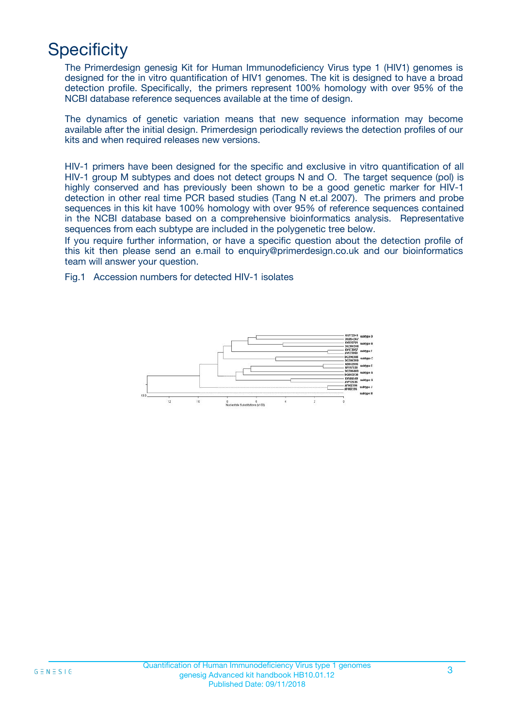## **Specificity**

The Primerdesign genesig Kit for Human Immunodeficiency Virus type 1 (HIV1) genomes is designed for the in vitro quantification of HIV1 genomes. The kit is designed to have a broad detection profile. Specifically, the primers represent 100% homology with over 95% of the NCBI database reference sequences available at the time of design.

The dynamics of genetic variation means that new sequence information may become available after the initial design. Primerdesign periodically reviews the detection profiles of our kits and when required releases new versions.

HIV-1 primers have been designed for the specific and exclusive in vitro quantification of all HIV-1 group M subtypes and does not detect groups N and O. The target sequence (pol) is highly conserved and has previously been shown to be a good genetic marker for HIV-1 detection in other real time PCR based studies (Tang N et.al 2007). The primers and probe sequences in this kit have 100% homology with over 95% of reference sequences contained in the NCBI database based on a comprehensive bioinformatics analysis. Representative sequences from each subtype are included in the polygenetic tree below.

If you require further information, or have a specific question about the detection profile of this kit then please send an e.mail to enquiry@primerdesign.co.uk and our bioinformatics team will answer your question.

Fig.1 Accession numbers for detected HIV-1 isolates

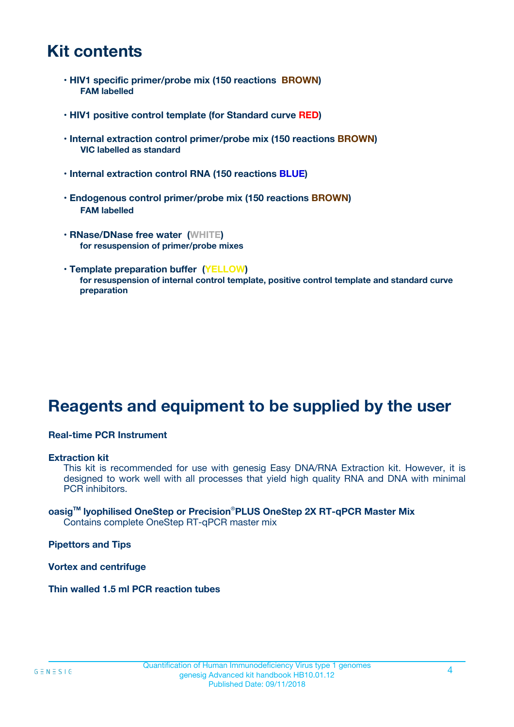### **Kit contents**

- **HIV1 specific primer/probe mix (150 reactions BROWN) FAM labelled**
- **HIV1 positive control template (for Standard curve RED)**
- **Internal extraction control primer/probe mix (150 reactions BROWN) VIC labelled as standard**
- **Internal extraction control RNA (150 reactions BLUE)**
- **Endogenous control primer/probe mix (150 reactions BROWN) FAM labelled**
- **RNase/DNase free water (WHITE) for resuspension of primer/probe mixes**
- **Template preparation buffer (YELLOW) for resuspension of internal control template, positive control template and standard curve preparation**

### **Reagents and equipment to be supplied by the user**

#### **Real-time PCR Instrument**

#### **Extraction kit**

This kit is recommended for use with genesig Easy DNA/RNA Extraction kit. However, it is designed to work well with all processes that yield high quality RNA and DNA with minimal PCR inhibitors.

#### **oasigTM lyophilised OneStep or Precision**®**PLUS OneStep 2X RT-qPCR Master Mix** Contains complete OneStep RT-qPCR master mix

**Pipettors and Tips**

**Vortex and centrifuge**

**Thin walled 1.5 ml PCR reaction tubes**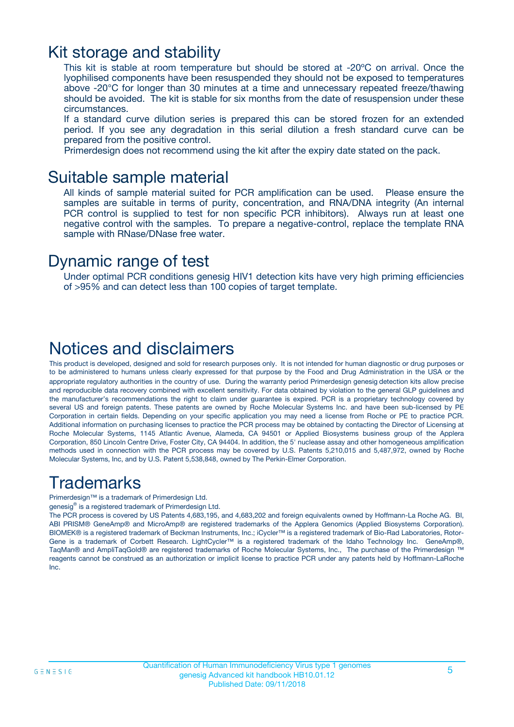### Kit storage and stability

This kit is stable at room temperature but should be stored at -20ºC on arrival. Once the lyophilised components have been resuspended they should not be exposed to temperatures above -20°C for longer than 30 minutes at a time and unnecessary repeated freeze/thawing should be avoided. The kit is stable for six months from the date of resuspension under these circumstances.

If a standard curve dilution series is prepared this can be stored frozen for an extended period. If you see any degradation in this serial dilution a fresh standard curve can be prepared from the positive control.

Primerdesign does not recommend using the kit after the expiry date stated on the pack.

### Suitable sample material

All kinds of sample material suited for PCR amplification can be used. Please ensure the samples are suitable in terms of purity, concentration, and RNA/DNA integrity (An internal PCR control is supplied to test for non specific PCR inhibitors). Always run at least one negative control with the samples. To prepare a negative-control, replace the template RNA sample with RNase/DNase free water.

### Dynamic range of test

Under optimal PCR conditions genesig HIV1 detection kits have very high priming efficiencies of >95% and can detect less than 100 copies of target template.

### Notices and disclaimers

This product is developed, designed and sold for research purposes only. It is not intended for human diagnostic or drug purposes or to be administered to humans unless clearly expressed for that purpose by the Food and Drug Administration in the USA or the appropriate regulatory authorities in the country of use. During the warranty period Primerdesign genesig detection kits allow precise and reproducible data recovery combined with excellent sensitivity. For data obtained by violation to the general GLP guidelines and the manufacturer's recommendations the right to claim under guarantee is expired. PCR is a proprietary technology covered by several US and foreign patents. These patents are owned by Roche Molecular Systems Inc. and have been sub-licensed by PE Corporation in certain fields. Depending on your specific application you may need a license from Roche or PE to practice PCR. Additional information on purchasing licenses to practice the PCR process may be obtained by contacting the Director of Licensing at Roche Molecular Systems, 1145 Atlantic Avenue, Alameda, CA 94501 or Applied Biosystems business group of the Applera Corporation, 850 Lincoln Centre Drive, Foster City, CA 94404. In addition, the 5' nuclease assay and other homogeneous amplification methods used in connection with the PCR process may be covered by U.S. Patents 5,210,015 and 5,487,972, owned by Roche Molecular Systems, Inc, and by U.S. Patent 5,538,848, owned by The Perkin-Elmer Corporation.

### Trademarks

Primerdesign™ is a trademark of Primerdesign Ltd.

genesig® is a registered trademark of Primerdesign Ltd.

The PCR process is covered by US Patents 4,683,195, and 4,683,202 and foreign equivalents owned by Hoffmann-La Roche AG. BI, ABI PRISM® GeneAmp® and MicroAmp® are registered trademarks of the Applera Genomics (Applied Biosystems Corporation). BIOMEK® is a registered trademark of Beckman Instruments, Inc.; iCycler™ is a registered trademark of Bio-Rad Laboratories, Rotor-Gene is a trademark of Corbett Research. LightCycler™ is a registered trademark of the Idaho Technology Inc. GeneAmp®, TaqMan® and AmpliTaqGold® are registered trademarks of Roche Molecular Systems, Inc., The purchase of the Primerdesign ™ reagents cannot be construed as an authorization or implicit license to practice PCR under any patents held by Hoffmann-LaRoche Inc.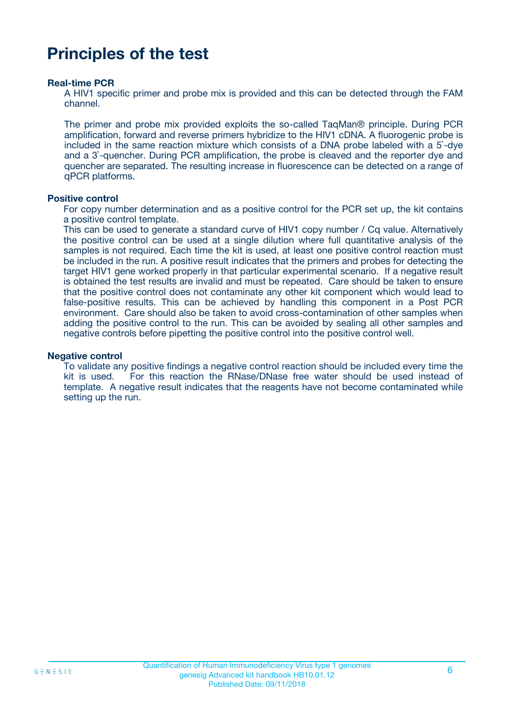### **Principles of the test**

#### **Real-time PCR**

A HIV1 specific primer and probe mix is provided and this can be detected through the FAM channel.

The primer and probe mix provided exploits the so-called TaqMan® principle. During PCR amplification, forward and reverse primers hybridize to the HIV1 cDNA. A fluorogenic probe is included in the same reaction mixture which consists of a DNA probe labeled with a 5`-dye and a 3`-quencher. During PCR amplification, the probe is cleaved and the reporter dye and quencher are separated. The resulting increase in fluorescence can be detected on a range of qPCR platforms.

#### **Positive control**

For copy number determination and as a positive control for the PCR set up, the kit contains a positive control template.

This can be used to generate a standard curve of HIV1 copy number / Cq value. Alternatively the positive control can be used at a single dilution where full quantitative analysis of the samples is not required. Each time the kit is used, at least one positive control reaction must be included in the run. A positive result indicates that the primers and probes for detecting the target HIV1 gene worked properly in that particular experimental scenario. If a negative result is obtained the test results are invalid and must be repeated. Care should be taken to ensure that the positive control does not contaminate any other kit component which would lead to false-positive results. This can be achieved by handling this component in a Post PCR environment. Care should also be taken to avoid cross-contamination of other samples when adding the positive control to the run. This can be avoided by sealing all other samples and negative controls before pipetting the positive control into the positive control well.

#### **Negative control**

To validate any positive findings a negative control reaction should be included every time the kit is used. For this reaction the RNase/DNase free water should be used instead of template. A negative result indicates that the reagents have not become contaminated while setting up the run.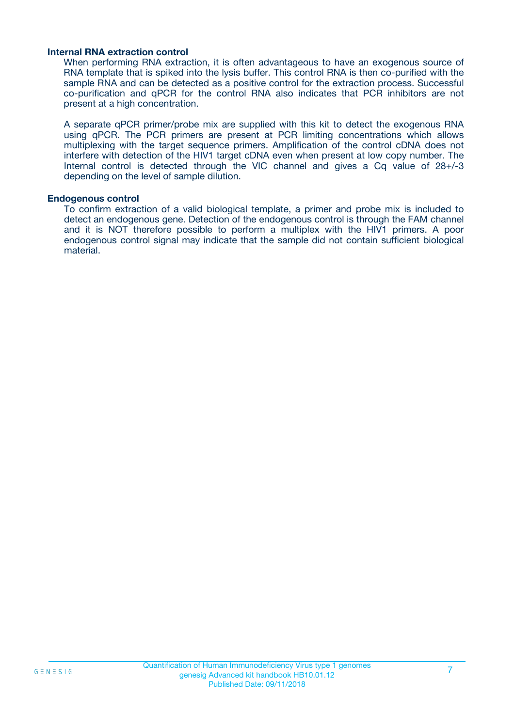#### **Internal RNA extraction control**

When performing RNA extraction, it is often advantageous to have an exogenous source of RNA template that is spiked into the lysis buffer. This control RNA is then co-purified with the sample RNA and can be detected as a positive control for the extraction process. Successful co-purification and qPCR for the control RNA also indicates that PCR inhibitors are not present at a high concentration.

A separate qPCR primer/probe mix are supplied with this kit to detect the exogenous RNA using qPCR. The PCR primers are present at PCR limiting concentrations which allows multiplexing with the target sequence primers. Amplification of the control cDNA does not interfere with detection of the HIV1 target cDNA even when present at low copy number. The Internal control is detected through the VIC channel and gives a Cq value of 28+/-3 depending on the level of sample dilution.

#### **Endogenous control**

To confirm extraction of a valid biological template, a primer and probe mix is included to detect an endogenous gene. Detection of the endogenous control is through the FAM channel and it is NOT therefore possible to perform a multiplex with the HIV1 primers. A poor endogenous control signal may indicate that the sample did not contain sufficient biological material.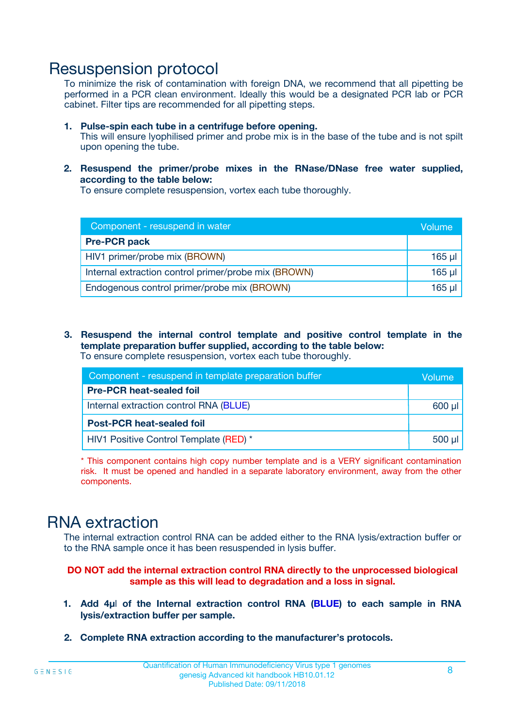### Resuspension protocol

To minimize the risk of contamination with foreign DNA, we recommend that all pipetting be performed in a PCR clean environment. Ideally this would be a designated PCR lab or PCR cabinet. Filter tips are recommended for all pipetting steps.

- **1. Pulse-spin each tube in a centrifuge before opening.** This will ensure lyophilised primer and probe mix is in the base of the tube and is not spilt upon opening the tube.
- **2. Resuspend the primer/probe mixes in the RNase/DNase free water supplied, according to the table below:**

To ensure complete resuspension, vortex each tube thoroughly.

| Component - resuspend in water                       | Volume   |
|------------------------------------------------------|----------|
| <b>Pre-PCR pack</b>                                  |          |
| HIV1 primer/probe mix (BROWN)                        | $165$ µl |
| Internal extraction control primer/probe mix (BROWN) | $165$ µl |
| Endogenous control primer/probe mix (BROWN)          | 165 µl   |

**3. Resuspend the internal control template and positive control template in the template preparation buffer supplied, according to the table below:** To ensure complete resuspension, vortex each tube thoroughly.

| Component - resuspend in template preparation buffer |             |  |  |
|------------------------------------------------------|-------------|--|--|
| <b>Pre-PCR heat-sealed foil</b>                      |             |  |  |
| Internal extraction control RNA (BLUE)               |             |  |  |
| <b>Post-PCR heat-sealed foil</b>                     |             |  |  |
| HIV1 Positive Control Template (RED) *               | $500$ $\mu$ |  |  |

\* This component contains high copy number template and is a VERY significant contamination risk. It must be opened and handled in a separate laboratory environment, away from the other components.

### RNA extraction

The internal extraction control RNA can be added either to the RNA lysis/extraction buffer or to the RNA sample once it has been resuspended in lysis buffer.

#### **DO NOT add the internal extraction control RNA directly to the unprocessed biological sample as this will lead to degradation and a loss in signal.**

- **1. Add 4µ**l **of the Internal extraction control RNA (BLUE) to each sample in RNA lysis/extraction buffer per sample.**
- **2. Complete RNA extraction according to the manufacturer's protocols.**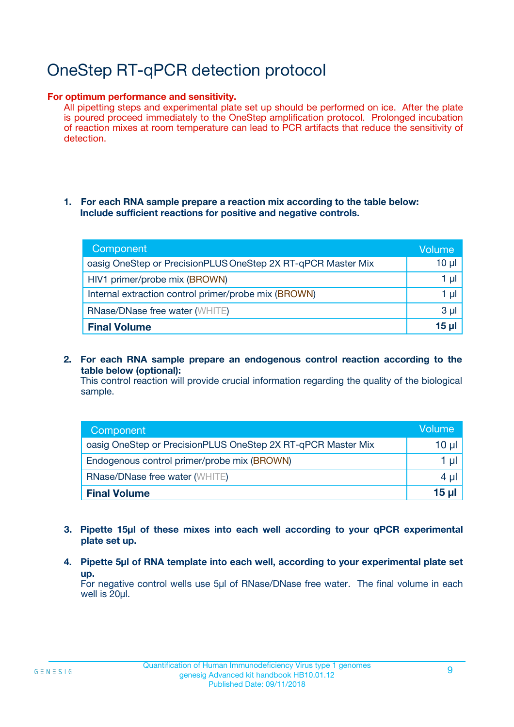## OneStep RT-qPCR detection protocol

#### **For optimum performance and sensitivity.**

All pipetting steps and experimental plate set up should be performed on ice. After the plate is poured proceed immediately to the OneStep amplification protocol. Prolonged incubation of reaction mixes at room temperature can lead to PCR artifacts that reduce the sensitivity of detection.

#### **1. For each RNA sample prepare a reaction mix according to the table below: Include sufficient reactions for positive and negative controls.**

| Component                                                    | <b>Volume</b> |
|--------------------------------------------------------------|---------------|
| oasig OneStep or PrecisionPLUS OneStep 2X RT-qPCR Master Mix | $10 \mu$      |
| HIV1 primer/probe mix (BROWN)                                | 1 µI          |
| Internal extraction control primer/probe mix (BROWN)         | 1 µI          |
| <b>RNase/DNase free water (WHITE)</b>                        | $3 \mu$       |
| <b>Final Volume</b>                                          | 15 µl         |

**2. For each RNA sample prepare an endogenous control reaction according to the table below (optional):**

This control reaction will provide crucial information regarding the quality of the biological sample.

| Component                                                    | Volume          |
|--------------------------------------------------------------|-----------------|
| oasig OneStep or PrecisionPLUS OneStep 2X RT-qPCR Master Mix | 10 µl           |
| Endogenous control primer/probe mix (BROWN)                  | 1 µl            |
| <b>RNase/DNase free water (WHITE)</b>                        | $4 \mu$         |
| <b>Final Volume</b>                                          | $15$ µl $\vert$ |

- **3. Pipette 15µl of these mixes into each well according to your qPCR experimental plate set up.**
- **4. Pipette 5µl of RNA template into each well, according to your experimental plate set up.**

For negative control wells use 5µl of RNase/DNase free water. The final volume in each well is 20µl.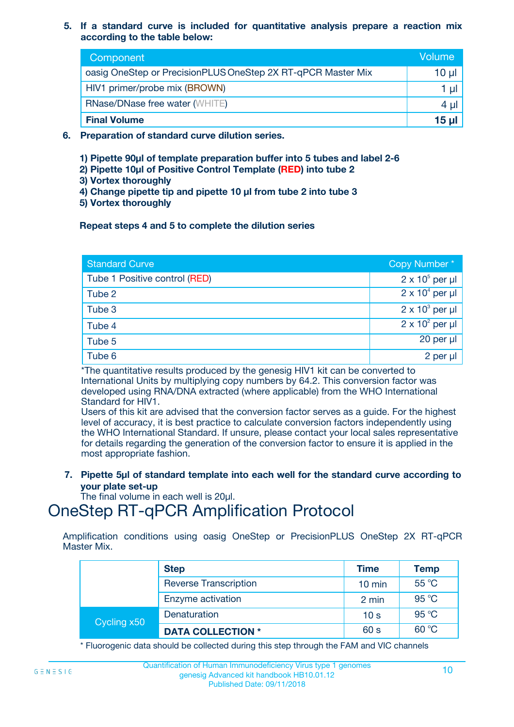#### **5. If a standard curve is included for quantitative analysis prepare a reaction mix according to the table below:**

| Component                                                    | Volume   |
|--------------------------------------------------------------|----------|
| oasig OneStep or PrecisionPLUS OneStep 2X RT-qPCR Master Mix | $10 \mu$ |
| HIV1 primer/probe mix (BROWN)                                |          |
| <b>RNase/DNase free water (WHITE)</b>                        | 4 µl     |
| <b>Final Volume</b>                                          | $15 \mu$ |

- **6. Preparation of standard curve dilution series.**
	- **1) Pipette 90µl of template preparation buffer into 5 tubes and label 2-6**
	- **2) Pipette 10µl of Positive Control Template (RED) into tube 2**
	- **3) Vortex thoroughly**
	- **4) Change pipette tip and pipette 10 µl from tube 2 into tube 3**
	- **5) Vortex thoroughly**

#### **Repeat steps 4 and 5 to complete the dilution series**

| <b>Standard Curve</b>         | Copy Number*           |
|-------------------------------|------------------------|
| Tube 1 Positive control (RED) | $2 \times 10^5$ per µl |
| Tube 2                        | $2 \times 10^4$ per µl |
| Tube 3                        | $2 \times 10^3$ per µl |
| Tube 4                        | $2 \times 10^2$ per µl |
| Tube 5                        | 20 per µl              |
| Tube 6                        | 2 per µl               |

\*The quantitative results produced by the genesig HIV1 kit can be converted to International Units by multiplying copy numbers by 64.2. This conversion factor was developed using RNA/DNA extracted (where applicable) from the WHO International Standard for HIV1.

Users of this kit are advised that the conversion factor serves as a guide. For the highest level of accuracy, it is best practice to calculate conversion factors independently using the WHO International Standard. If unsure, please contact your local sales representative for details regarding the generation of the conversion factor to ensure it is applied in the most appropriate fashion.

**7. Pipette 5µl of standard template into each well for the standard curve according to your plate set-up**

The final volume in each well is 20ul.

### OneStep RT-qPCR Amplification Protocol

Amplification conditions using oasig OneStep or PrecisionPLUS OneStep 2X RT-qPCR Master Mix.

|             | <b>Step</b>                  | <b>Time</b>      | <b>Temp</b> |
|-------------|------------------------------|------------------|-------------|
|             | <b>Reverse Transcription</b> | $10 \text{ min}$ | 55 °C       |
|             | Enzyme activation            | 2 min            | 95 °C       |
| Cycling x50 | Denaturation                 | 10 <sub>s</sub>  | 95 °C       |
|             | <b>DATA COLLECTION *</b>     | 60 s             | 60 °C       |

\* Fluorogenic data should be collected during this step through the FAM and VIC channels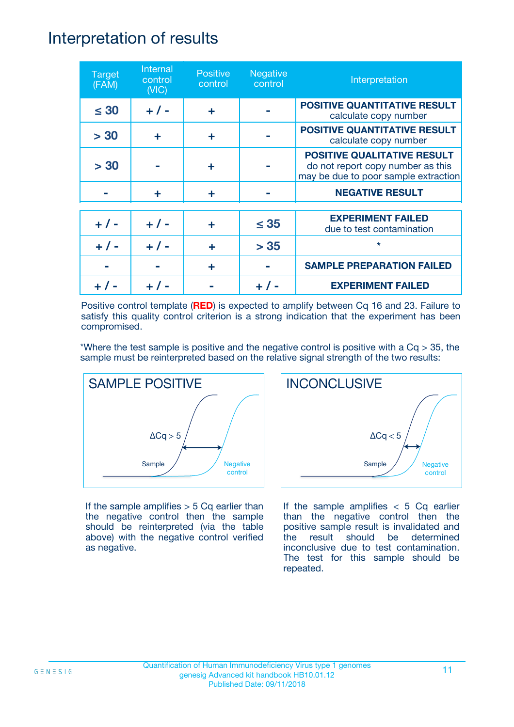### Interpretation of results

| <b>Target</b><br>(FAM) | Internal<br>control<br>(NIC) | <b>Positive</b><br>control | <b>Negative</b><br>control | Interpretation                                                                                                  |
|------------------------|------------------------------|----------------------------|----------------------------|-----------------------------------------------------------------------------------------------------------------|
| $\leq 30$              | $+ 1 -$                      | ÷                          |                            | <b>POSITIVE QUANTITATIVE RESULT</b><br>calculate copy number                                                    |
| > 30                   | ٠                            | ÷                          |                            | <b>POSITIVE QUANTITATIVE RESULT</b><br>calculate copy number                                                    |
| > 30                   |                              | ÷                          |                            | <b>POSITIVE QUALITATIVE RESULT</b><br>do not report copy number as this<br>may be due to poor sample extraction |
|                        | ÷                            | ÷                          |                            | <b>NEGATIVE RESULT</b>                                                                                          |
| $+ 1 -$                | $+ 1 -$                      | ÷                          | $\leq$ 35                  | <b>EXPERIMENT FAILED</b><br>due to test contamination                                                           |
| $+ 1 -$                | $+ 1 -$                      | ÷                          | > 35                       | $\star$                                                                                                         |
|                        |                              | ÷                          |                            | <b>SAMPLE PREPARATION FAILED</b>                                                                                |
|                        |                              |                            |                            | <b>EXPERIMENT FAILED</b>                                                                                        |

Positive control template (**RED**) is expected to amplify between Cq 16 and 23. Failure to satisfy this quality control criterion is a strong indication that the experiment has been compromised.

\*Where the test sample is positive and the negative control is positive with a  $Cq > 35$ , the sample must be reinterpreted based on the relative signal strength of the two results:



If the sample amplifies  $> 5$  Cq earlier than the negative control then the sample should be reinterpreted (via the table above) with the negative control verified as negative.



If the sample amplifies  $< 5$  Cq earlier than the negative control then the positive sample result is invalidated and the result should be determined inconclusive due to test contamination. The test for this sample should be repeated.